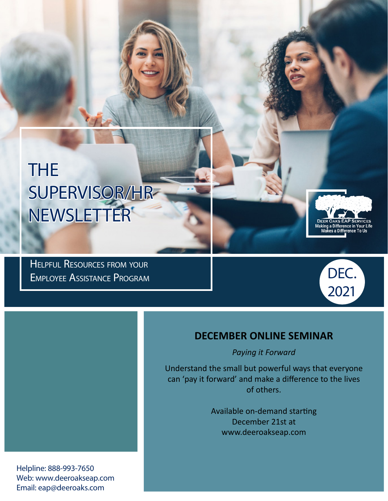# THE SUPERVISOR/HR NEWSLETTER

Helpful Resources from your Employee Assistance Program



Aaking a Difference in Your Li<br>Makes a Difference To Us

### **DECEMBER ONLINE SEMINAR**

*Paying it Forward*

Understand the small but powerful ways that everyone can 'pay it forward' and make a difference to the lives of others.

> Available on-demand starting December 21st at www.deeroakseap.com

Helpline: 888-993-7650 Web: www.deeroakseap.com Email: eap@deeroaks.com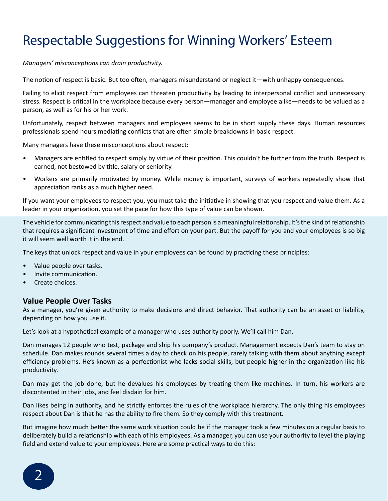### Respectable Suggestions for Winning Workers' Esteem

*Managers' misconceptions can drain productivity.*

The notion of respect is basic. But too often, managers misunderstand or neglect it—with unhappy consequences.

Failing to elicit respect from employees can threaten productivity by leading to interpersonal conflict and unnecessary stress. Respect is critical in the workplace because every person—manager and employee alike—needs to be valued as a person, as well as for his or her work.

Unfortunately, respect between managers and employees seems to be in short supply these days. Human resources professionals spend hours mediating conflicts that are often simple breakdowns in basic respect.

Many managers have these misconceptions about respect:

- Managers are entitled to respect simply by virtue of their position. This couldn't be further from the truth. Respect is earned, not bestowed by title, salary or seniority.
- Workers are primarily motivated by money. While money is important, surveys of workers repeatedly show that appreciation ranks as a much higher need.

If you want your employees to respect you, you must take the initiative in showing that you respect and value them. As a leader in your organization, you set the pace for how this type of value can be shown.

The vehicle for communicating this respect and value to each person is a meaningful relationship. It's the kind of relationship that requires a significant investment of time and effort on your part. But the payoff for you and your employees is so big it will seem well worth it in the end.

The keys that unlock respect and value in your employees can be found by practicing these principles:

- Value people over tasks.
- Invite communication.
- Create choices.

#### **Value People Over Tasks**

As a manager, you're given authority to make decisions and direct behavior. That authority can be an asset or liability, depending on how you use it.

Let's look at a hypothetical example of a manager who uses authority poorly. We'll call him Dan.

Dan manages 12 people who test, package and ship his company's product. Management expects Dan's team to stay on schedule. Dan makes rounds several times a day to check on his people, rarely talking with them about anything except efficiency problems. He's known as a perfectionist who lacks social skills, but people higher in the organization like his productivity.

Dan may get the job done, but he devalues his employees by treating them like machines. In turn, his workers are discontented in their jobs, and feel disdain for him.

Dan likes being in authority, and he strictly enforces the rules of the workplace hierarchy. The only thing his employees respect about Dan is that he has the ability to fire them. So they comply with this treatment.

But imagine how much better the same work situation could be if the manager took a few minutes on a regular basis to deliberately build a relationship with each of his employees. As a manager, you can use your authority to level the playing field and extend value to your employees. Here are some practical ways to do this:

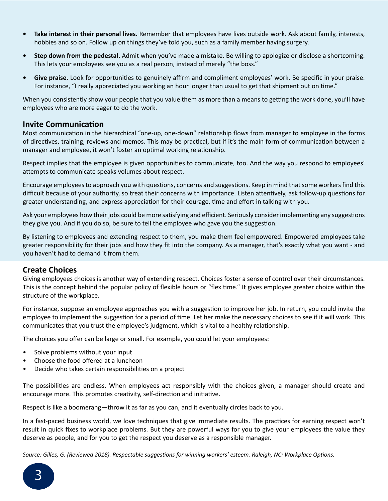- **• Take interest in their personal lives.** Remember that employees have lives outside work. Ask about family, interests, hobbies and so on. Follow up on things they've told you, such as a family member having surgery.
- **• Step down from the pedestal.** Admit when you've made a mistake. Be willing to apologize or disclose a shortcoming. This lets your employees see you as a real person, instead of merely "the boss."
- **• Give praise.** Look for opportunities to genuinely affirm and compliment employees' work. Be specific in your praise. For instance, "I really appreciated you working an hour longer than usual to get that shipment out on time."

When you consistently show your people that you value them as more than a means to getting the work done, you'll have employees who are more eager to do the work.

#### **Invite Communication**

Most communication in the hierarchical "one-up, one-down" relationship flows from manager to employee in the forms of directives, training, reviews and memos. This may be practical, but if it's the main form of communication between a manager and employee, it won't foster an optimal working relationship.

Respect implies that the employee is given opportunities to communicate, too. And the way you respond to employees' attempts to communicate speaks volumes about respect.

Encourage employees to approach you with questions, concerns and suggestions. Keep in mind that some workers find this difficult because of your authority, so treat their concerns with importance. Listen attentively, ask follow-up questions for greater understanding, and express appreciation for their courage, time and effort in talking with you.

Ask your employees how their jobs could be more satisfying and efficient. Seriously consider implementing any suggestions they give you. And if you do so, be sure to tell the employee who gave you the suggestion.

By listening to employees and extending respect to them, you make them feel empowered. Empowered employees take greater responsibility for their jobs and how they fit into the company. As a manager, that's exactly what you want - and you haven't had to demand it from them.

#### **Create Choices**

Giving employees choices is another way of extending respect. Choices foster a sense of control over their circumstances. This is the concept behind the popular policy of flexible hours or "flex time." It gives employee greater choice within the structure of the workplace.

For instance, suppose an employee approaches you with a suggestion to improve her job. In return, you could invite the employee to implement the suggestion for a period of time. Let her make the necessary choices to see if it will work. This communicates that you trust the employee's judgment, which is vital to a healthy relationship.

The choices you offer can be large or small. For example, you could let your employees:

- Solve problems without your input
- Choose the food offered at a luncheon
- Decide who takes certain responsibilities on a project

The possibilities are endless. When employees act responsibly with the choices given, a manager should create and encourage more. This promotes creativity, self-direction and initiative.

Respect is like a boomerang—throw it as far as you can, and it eventually circles back to you.

In a fast-paced business world, we love techniques that give immediate results. The practices for earning respect won't result in quick fixes to workplace problems. But they are powerful ways for you to give your employees the value they deserve as people, and for you to get the respect you deserve as a responsible manager.

*Source: Gilles, G. (Reviewed 2018). Respectable suggestions for winning workers' esteem. Raleigh, NC: Workplace Options.*